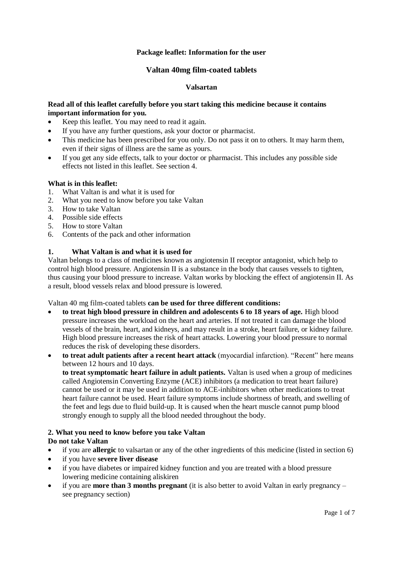## **Package leaflet: Information for the user**

## **Valtan 40mg film-coated tablets**

### **Valsartan**

## **Read all of this leaflet carefully before you start taking this medicine because it contains important information for you.**

- Keep this leaflet. You may need to read it again.
- If you have any further questions, ask your doctor or pharmacist.
- This medicine has been prescribed for you only. Do not pass it on to others. It may harm them, even if their signs of illness are the same as yours.
- If you get any side effects, talk to your doctor or pharmacist. This includes any possible side effects not listed in this leaflet. See section 4.

### **What is in this leaflet:**

- 1. What Valtan is and what it is used for<br>2. What you need to know before you talk
- What you need to know before you take Valtan
- 3. How to take Valtan
- 4. Possible side effects
- 5. How to store Valtan
- 6. Contents of the pack and other information

### **1. What Valtan is and what it is used for**

Valtan belongs to a class of medicines known as angiotensin II receptor antagonist, which help to control high blood pressure. Angiotensin II is a substance in the body that causes vessels to tighten, thus causing your blood pressure to increase. Valtan works by blocking the effect of angiotensin II. As a result, blood vessels relax and blood pressure is lowered.

Valtan 40 mg film-coated tablets **can be used for three different conditions:**

 **to treat high blood pressure in children and adolescents 6 to 18 years of age.** High blood pressure increases the workload on the heart and arteries. If not treated it can damage the blood vessels of the brain, heart, and kidneys, and may result in a stroke, heart failure, or kidney failure. High blood pressure increases the risk of heart attacks. Lowering your blood pressure to normal reduces the risk of developing these disorders.

 **to treat adult patients after a recent heart attack** (myocardial infarction). "Recent" here means between 12 hours and 10 days.

**to treat symptomatic heart failure in adult patients.** Valtan is used when a group of medicines called Angiotensin Converting Enzyme (ACE) inhibitors (a medication to treat heart failure) cannot be used or it may be used in addition to ACE-inhibitors when other medications to treat heart failure cannot be used. Heart failure symptoms include shortness of breath, and swelling of the feet and legs due to fluid build-up. It is caused when the heart muscle cannot pump blood strongly enough to supply all the blood needed throughout the body.

# **2. What you need to know before you take Valtan**

### **Do not take Valtan**

- if you are **allergic** to valsartan or any of the other ingredients of this medicine (listed in section 6)
- if you have **severe liver disease**
- if you have diabetes or impaired kidney function and you are treated with a blood pressure lowering medicine containing aliskiren
- if you are **more than 3 months pregnant** (it is also better to avoid Valtan in early pregnancy see pregnancy section)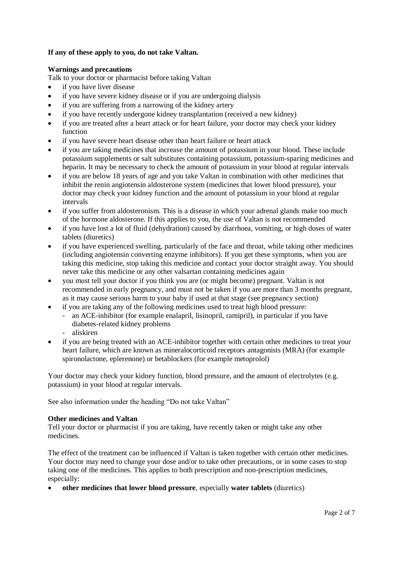# **If any of these apply to you, do not take Valtan.**

### **Warnings and precautions**

Talk to your doctor or pharmacist before taking Valtan

- if you have liver disease
- if you have severe kidney disease or if you are undergoing dialysis
- if you are suffering from a narrowing of the kidney artery
- if you have recently undergone kidney transplantation (received a new kidney)
- if you are treated after a heart attack or for heart failure, your doctor may check your kidney function
- if you have severe heart disease other than heart failure or heart attack
- if you are taking medicines that increase the amount of potassium in your blood. These include potassium supplements or salt substitutes containing potassium, potassium-sparing medicines and heparin. It may be necessary to check the amount of potassium in your blood at regular intervals
- if you are below 18 years of age and you take Valtan in combination with other medicines that inhibit the renin angiotensin aldosterone system (medicines that lower blood pressure), your doctor may check your kidney function and the amount of potassium in your blood at regular intervals
- if you suffer from aldosteronism. This is a disease in which your adrenal glands make too much of the hormone aldosterone. If this applies to you, the use of Valtan is not recommended
- if you have lost a lot of fluid (dehydration) caused by diarrhoea, vomiting, or high doses of water tablets (diuretics)
- if you have experienced swelling, particularly of the face and throat, while taking other medicines (including angiotensin converting enzyme inhibitors). If you get these symptoms, when you are taking this medicine, stop taking this medicine and contact your doctor straight away. You should never take this medicine or any other valsartan containing medicines again
- you must tell your doctor if you think you are (or might become) pregnant. Valtan is not recommended in early pregnancy, and must not be taken if you are more than 3 months pregnant, as it may cause serious harm to your baby if used at that stage (see pregnancy section)
- if you are taking any of the following medicines used to treat high blood pressure:
	- an ACE-inhibitor (for example enalapril, lisinopril, ramipril), in particular if you have diabetes-related kidney problems
	- aliskiren
- if you are being treated with an ACE-inhibitor together with certain other medicines to treat your heart failure, which are known as mineralocorticoid receptors antagonists (MRA) (for example spironolactone, eplerenone) or betablockers (for example metoprolol)

Your doctor may check your kidney function, blood pressure, and the amount of electrolytes (e.g. potassium) in your blood at regular intervals.

See also information under the heading "Do not take Valtan"

### **Other medicines and Valtan**

Tell your doctor or pharmacist if you are taking, have recently taken or might take any other medicines.

The effect of the treatment can be influenced if Valtan is taken together with certain other medicines. Your doctor may need to change your dose and/or to take other precautions, or in some cases to stop taking one of the medicines. This applies to both prescription and non-prescription medicines, especially:

**other medicines that lower blood pressure**, especially **water tablets** (diuretics)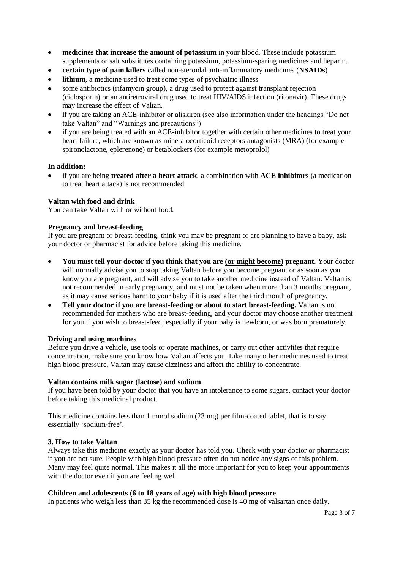- **medicines that increase the amount of potassium** in your blood. These include potassium supplements or salt substitutes containing potassium, potassium-sparing medicines and heparin.
- **certain type of pain killers** called non-steroidal anti-inflammatory medicines (**NSAIDs**)
- **• lithium**, a medicine used to treat some types of psychiatric illness
- some antibiotics (rifamycin group), a drug used to protect against transplant rejection (ciclosporin) or an antiretroviral drug used to treat HIV/AIDS infection (ritonavir). These drugs may increase the effect of Valtan.
- if you are taking an ACE-inhibitor or aliskiren (see also information under the headings "Do not take Valtan" and "Warnings and precautions")
- if you are being treated with an ACE-inhibitor together with certain other medicines to treat your heart failure, which are known as mineralocorticoid receptors antagonists (MRA) (for example spironolactone, eplerenone) or betablockers (for example metoprolol)

### **In addition:**

 if you are being **treated after a heart attack**, a combination with **ACE inhibitors** (a medication to treat heart attack) is not recommended

### **Valtan with food and drink**

You can take Valtan with or without food.

## **Pregnancy and breast-feeding**

If you are pregnant or breast-feeding, think you may be pregnant or are planning to have a baby, ask your doctor or pharmacist for advice before taking this medicine.

- **You must tell your doctor if you think that you are (or might become) pregnant**. Your doctor will normally advise you to stop taking Valtan before you become pregnant or as soon as you know you are pregnant, and will advise you to take another medicine instead of Valtan. Valtan is not recommended in early pregnancy, and must not be taken when more than 3 months pregnant, as it may cause serious harm to your baby if it is used after the third month of pregnancy.
- **Tell your doctor if you are breast-feeding or about to start breast-feeding.** Valtan is not recommended for mothers who are breast-feeding, and your doctor may choose another treatment for you if you wish to breast-feed, especially if your baby is newborn, or was born prematurely.

### **Driving and using machines**

Before you drive a vehicle, use tools or operate machines, or carry out other activities that require concentration, make sure you know how Valtan affects you. Like many other medicines used to treat high blood pressure, Valtan may cause dizziness and affect the ability to concentrate.

### **Valtan contains milk sugar (lactose) and sodium**

If you have been told by your doctor that you have an intolerance to some sugars, contact your doctor before taking this medicinal product.

This medicine contains less than 1 mmol sodium (23 mg) per film-coated tablet, that is to say essentially 'sodium-free'.

### **3. How to take Valtan**

Always take this medicine exactly as your doctor has told you. Check with your doctor or pharmacist if you are not sure. People with high blood pressure often do not notice any signs of this problem. Many may feel quite normal. This makes it all the more important for you to keep your appointments with the doctor even if you are feeling well.

### **Children and adolescents (6 to 18 years of age) with high blood pressure**

In patients who weigh less than 35 kg the recommended dose is 40 mg of valsartan once daily.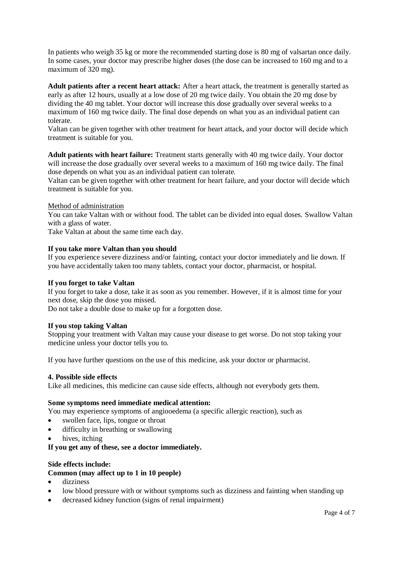In patients who weigh 35 kg or more the recommended starting dose is 80 mg of valsartan once daily. In some cases, your doctor may prescribe higher doses (the dose can be increased to 160 mg and to a maximum of 320 mg).

**Adult patients after a recent heart attack:** After a heart attack, the treatment is generally started as early as after 12 hours, usually at a low dose of 20 mg twice daily. You obtain the 20 mg dose by dividing the 40 mg tablet. Your doctor will increase this dose gradually over several weeks to a maximum of 160 mg twice daily. The final dose depends on what you as an individual patient can tolerate.

Valtan can be given together with other treatment for heart attack, and your doctor will decide which treatment is suitable for you.

**Adult patients with heart failure:** Treatment starts generally with 40 mg twice daily. Your doctor will increase the dose gradually over several weeks to a maximum of 160 mg twice daily. The final dose depends on what you as an individual patient can tolerate.

Valtan can be given together with other treatment for heart failure, and your doctor will decide which treatment is suitable for you.

Method of administration

You can take Valtan with or without food. The tablet can be divided into equal doses. Swallow Valtan with a glass of water.

Take Valtan at about the same time each day.

### **If you take more Valtan than you should**

If you experience severe dizziness and/or fainting, contact your doctor immediately and lie down. If you have accidentally taken too many tablets, contact your doctor, pharmacist, or hospital.

#### **If you forget to take Valtan**

If you forget to take a dose, take it as soon as you remember. However, if it is almost time for your next dose, skip the dose you missed.

Do not take a double dose to make up for a forgotten dose.

#### **If you stop taking Valtan**

Stopping your treatment with Valtan may cause your disease to get worse. Do not stop taking your medicine unless your doctor tells you to.

If you have further questions on the use of this medicine, ask your doctor or pharmacist.

#### **4. Possible side effects**

Like all medicines, this medicine can cause side effects, although not everybody gets them.

### **Some symptoms need immediate medical attention:**

You may experience symptoms of angiooedema (a specific allergic reaction), such as

- swollen face, lips, tongue or throat
- difficulty in breathing or swallowing
- hives, itching

**If you get any of these, see a doctor immediately.**

### **Side effects include:**

### **Common (may affect up to 1 in 10 people)**

- dizziness
- low blood pressure with or without symptoms such as dizziness and fainting when standing up
- decreased kidney function (signs of renal impairment)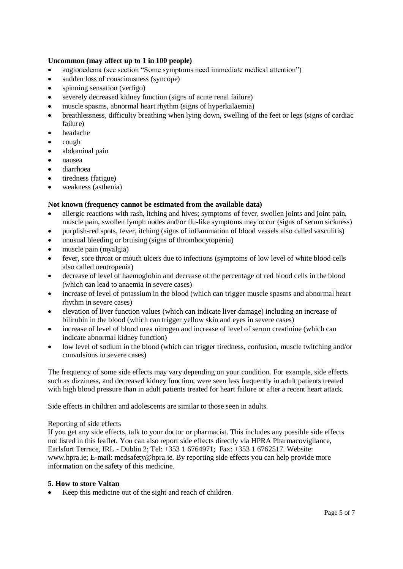## **Uncommon (may affect up to 1 in 100 people)**

- angiooedema (see section "Some symptoms need immediate medical attention")
- sudden loss of consciousness (syncope)
- spinning sensation (vertigo)
- severely decreased kidney function (signs of acute renal failure)
- muscle spasms, abnormal heart rhythm (signs of hyperkalaemia)
- breathlessness, difficulty breathing when lying down, swelling of the feet or legs (signs of cardiac failure)
- headache
- $\bullet$  cough
- abdominal pain
- nausea
- diarrhoea
- tiredness (fatigue)
- weakness (asthenia)

# **Not known (frequency cannot be estimated from the available data)**

- allergic reactions with rash, itching and hives; symptoms of fever, swollen joints and joint pain, muscle pain, swollen lymph nodes and/or flu-like symptoms may occur (signs of serum sickness)
- purplish-red spots, fever, itching (signs of inflammation of blood vessels also called vasculitis)
- unusual bleeding or bruising (signs of thrombocytopenia)
- muscle pain (myalgia)
- fever, sore throat or mouth ulcers due to infections (symptoms of low level of white blood cells also called neutropenia)
- decrease of level of haemoglobin and decrease of the percentage of red blood cells in the blood (which can lead to anaemia in severe cases)
- increase of level of potassium in the blood (which can trigger muscle spasms and abnormal heart rhythm in severe cases)
- elevation of liver function values (which can indicate liver damage) including an increase of bilirubin in the blood (which can trigger yellow skin and eyes in severe cases)
- increase of level of blood urea nitrogen and increase of level of serum creatinine (which can indicate abnormal kidney function)
- low level of sodium in the blood (which can trigger tiredness, confusion, muscle twitching and/or convulsions in severe cases)

The frequency of some side effects may vary depending on your condition. For example, side effects such as dizziness, and decreased kidney function, were seen less frequently in adult patients treated with high blood pressure than in adult patients treated for heart failure or after a recent heart attack.

Side effects in children and adolescents are similar to those seen in adults.

### Reporting of side effects

If you get any side effects, talk to your doctor or pharmacist. This includes any possible side effects not listed in this leaflet. You can also report side effects directly via HPRA Pharmacovigilance, Earlsfort Terrace, IRL - Dublin 2; Tel: +353 1 6764971; Fax: +353 1 6762517. Website: [www.hpra.ie;](http://www.hpra.ie/) E-mail: [medsafety@hpra.ie.](mailto:medsafety@hpra.ie) By reporting side effects you can help provide more information on the safety of this medicine.

# **5. How to store Valtan**

Keep this medicine out of the sight and reach of children.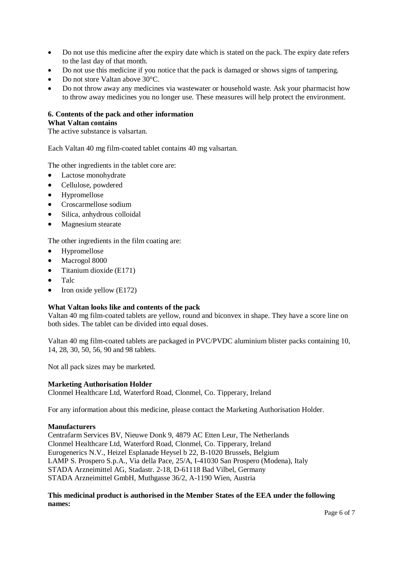- Do not use this medicine after the expiry date which is stated on the pack. The expiry date refers to the last day of that month.
- Do not use this medicine if you notice that the pack is damaged or shows signs of tampering.
- Do not store Valtan above 30°C.
- Do not throw away any medicines via wastewater or household waste. Ask your pharmacist how to throw away medicines you no longer use. These measures will help protect the environment.

#### **6. Contents of the pack and other information What Valtan contains**

The active substance is valsartan.

Each Valtan 40 mg film-coated tablet contains 40 mg valsartan.

The other ingredients in the tablet core are:

- Lactose monohydrate
- Cellulose, powdered
- Hypromellose
- Croscarmellose sodium
- Silica, anhydrous colloidal
- Magnesium stearate

The other ingredients in the film coating are:

- Hypromellose
- Macrogol 8000
- $\bullet$  Titanium dioxide (E171)
- Talc
- $\bullet$  Iron oxide yellow (E172)

### **What Valtan looks like and contents of the pack**

Valtan 40 mg film-coated tablets are yellow, round and biconvex in shape. They have a score line on both sides. The tablet can be divided into equal doses.

Valtan 40 mg film-coated tablets are packaged in PVC/PVDC aluminium blister packs containing 10, 14, 28, 30, 50, 56, 90 and 98 tablets.

Not all pack sizes may be marketed.

### **Marketing Authorisation Holder**

Clonmel Healthcare Ltd, Waterford Road, Clonmel, Co. Tipperary, Ireland

For any information about this medicine, please contact the Marketing Authorisation Holder.

### **Manufacturers**

Centrafarm Services BV, Nieuwe Donk 9, 4879 AC Etten Leur, The Netherlands Clonmel Healthcare Ltd, Waterford Road, Clonmel, Co. Tipperary, Ireland Eurogenerics N.V., Heizel Esplanade Heysel b 22, B-1020 Brussels, Belgium LAMP S. Prospero S.p.A., Via della Pace, 25/A, I-41030 San Prospero (Modena), Italy STADA Arzneimittel AG, Stadastr. 2-18, D-61118 Bad Vilbel, Germany STADA Arzneimittel GmbH, Muthgasse 36/2, A-1190 Wien, Austria

**This medicinal product is authorised in the Member States of the EEA under the following names:**